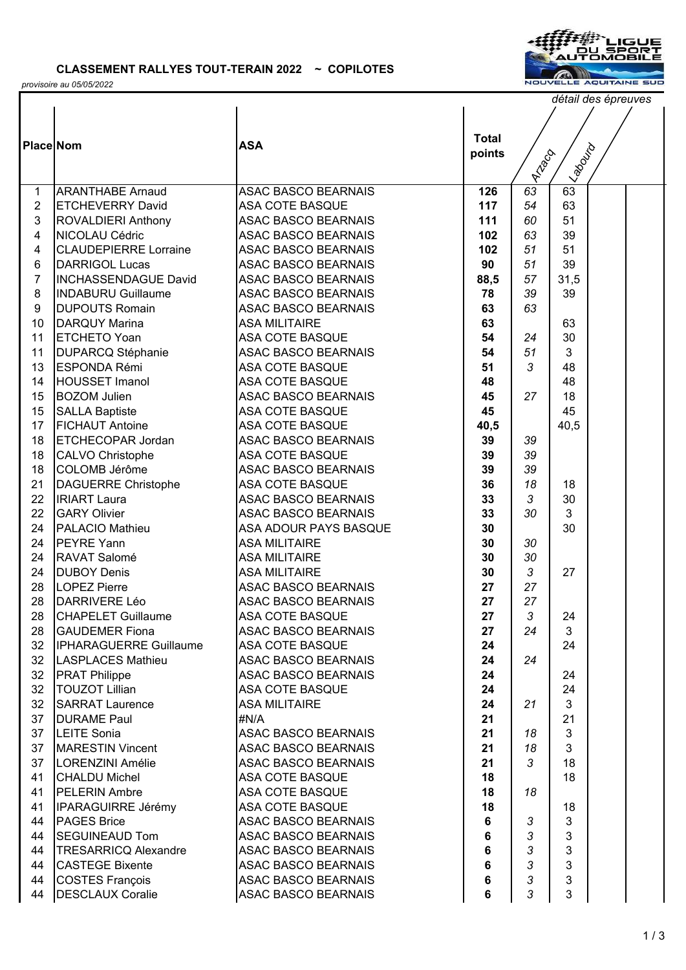*provisoire au 05/05/2022*



**Llabourd** 

*détail des épreuves*

**Place** Nom **ASA Total**  Nom **ASA Total points ITTIGO** 1 ARANTHABE Arnaud ASAC BASCO BEARNAIS **126** *63* 63 2 ETCHEVERRY David ASA COTE BASQUE **117** *54* 63 3 ROVALDIERI Anthony ASAC BASCO BEARNAIS **111** *60* 51 4 NICOLAU Cédric ASAC BASCO BEARNAIS **102** *63* 39 4 CLAUDEPIERRE Lorraine ASAC BASCO BEARNAIS **102** *51* 51 6 DARRIGOL Lucas ASAC BASCO BEARNAIS **90** *51* 39 7 INCHASSENDAGUE David ASAC BASCO BEARNAIS **88,5** *57* 31,5 8 |INDABURU Guillaume | ASAC BASCO BEARNAIS | 78 | 39 | 39 9 DUPOUTS Romain ASAC BASCO BEARNAIS **63** *63* 10 DARQUY Marina ASA MILITAIRE **63** 63 11 ETCHETO Yoan ASA COTE BASQUE **54** *24* 30 11 DUPARCQ Stéphanie ASAC BASCO BEARNAIS **54** *51* 3 13 ESPONDA Rémi ASA COTE BASQUE **51** *3* 48 14 **HOUSSET Imanol ASA COTE BASQUE**  48 **48** 48 15 BOZOM Julien ASAC BASCO BEARNAIS **45** 27 | 18 15 SALLA Baptiste **145** ASA COTE BASQUE **145 45** 45 17 FICHAUT Antoine ASA COTE BASQUE **40,5** 40,5 18 ETCHECOPAR Jordan ASAC BASCO BEARNAIS **39** *39* 18 CALVO Christophe ASA COTE BASQUE **39** *39* 18 COLOMB Jérôme ASAC BASCO BEARNAIS **39** *39* 21 DAGUERRE Christophe ASA COTE BASQUE **136** 18 18 22 IRIART Laura ASAC BASCO BEARNAIS **33** *3* 30 22 GARY Olivier ASAC BASCO BEARNAIS **33** *30* 3 24 PALACIO Mathieu ASA ADOUR PAYS BASQUE **30** 30 24 PEYRE Yann **ASA MILITAIRE 30** 30 30 24 RAVAT Salomé ASA MILITAIRE **30** *30* 24 DUBOY Denis ASA MILITAIRE **30** *3* 27 28 LOPEZ Pierre ASAC BASCO BEARNAIS **27** *27* 28 DARRIVERE Léo ASAC BASCO BEARNAIS **27** *27* 28 CHAPELET Guillaume ASA COTE BASQUE **27** 24 24 28 GAUDEMER Fiona **ASAC BASCO BEARNAIS** 27 | 24 | 3 32 **IPHARAGUERRE Guillaume** ASA COTE BASQUE **24 | 24** 24 32 LASPLACES Mathieu ASAC BASCO BEARNAIS **24** *24* 32 PRAT Philippe ASAC BASCO BEARNAIS **24** 24 24 32 TOUZOT Lillian ASA COTE BASQUE **24** 24 32 SARRAT Laurence ASA MILITAIRE **24** *21* 3 37 DURAME Paul **#N/A 21** 21 21 21 37 LEITE Sonia ASAC BASCO BEARNAIS **21** *18* 3 37 MARESTIN Vincent ASAC BASCO BEARNAIS **21** *18* 3 37 LORENZINI Amélie ASAC BASCO BEARNAIS **21** *3* 18 41 CHALDU Michel ASA COTE BASQUE **18** 18 41 PELERIN Ambre ASA COTE BASQUE **18** *18* 41 **IPARAGUIRRE Jérémy** ASA COTE BASQUE **18** 18 18 44 PAGES Brice ASAC BASCO BEARNAIS **6** *3* 3 44 SEGUINEAUD Tom ASAC BASCO BEARNAIS **6** *3* 3 44 TRESARRICQ Alexandre ASAC BASCO BEARNAIS **6** *3* 3 44 CASTEGE Bixente ASAC BASCO BEARNAIS **6** *3* 3

44 COSTES François ASAC BASCO BEARNAIS **6** *3* 3 44 DESCLAUX Coralie ASAC BASCO BEARNAIS **6** *3* 3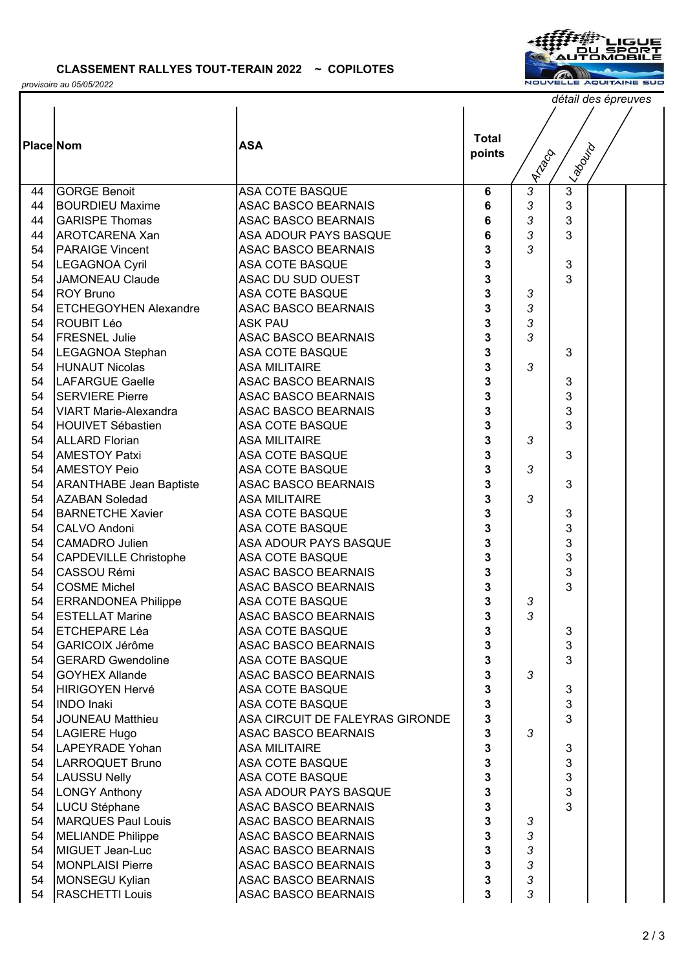

*provisoire au 05/05/2022*

|                  |                                |                                 |              |                         |                | détail des épreuves |  |  |  |  |
|------------------|--------------------------------|---------------------------------|--------------|-------------------------|----------------|---------------------|--|--|--|--|
|                  |                                |                                 |              |                         |                |                     |  |  |  |  |
|                  |                                |                                 |              |                         |                |                     |  |  |  |  |
| <b>Place Nom</b> |                                | <b>ASA</b>                      | <b>Total</b> |                         |                |                     |  |  |  |  |
|                  |                                |                                 | points       |                         |                |                     |  |  |  |  |
|                  |                                |                                 |              | <b>Aria</b> go          | ILABOUTO       |                     |  |  |  |  |
| 44               | <b>GORGE Benoit</b>            | ASA COTE BASQUE                 | 6            | $\overline{\mathbf{3}}$ | $\overline{3}$ |                     |  |  |  |  |
| 44               | <b>BOURDIEU Maxime</b>         | <b>ASAC BASCO BEARNAIS</b>      | 6            | 3                       | 3              |                     |  |  |  |  |
| 44               | <b>GARISPE Thomas</b>          | <b>ASAC BASCO BEARNAIS</b>      | 6            | 3                       | 3              |                     |  |  |  |  |
| 44               | <b>AROTCARENA Xan</b>          | ASA ADOUR PAYS BASQUE           | 6            | 3                       | 3              |                     |  |  |  |  |
| 54               | <b>PARAIGE Vincent</b>         | <b>ASAC BASCO BEARNAIS</b>      | 3            | 3                       |                |                     |  |  |  |  |
| 54               | <b>LEGAGNOA Cyril</b>          | <b>ASA COTE BASQUE</b>          | 3            |                         | 3              |                     |  |  |  |  |
| 54               | JAMONEAU Claude                | ASAC DU SUD OUEST               | 3            |                         | 3              |                     |  |  |  |  |
| 54               | <b>ROY Bruno</b>               | ASA COTE BASQUE                 | 3            | 3                       |                |                     |  |  |  |  |
| 54               | <b>ETCHEGOYHEN Alexandre</b>   | <b>ASAC BASCO BEARNAIS</b>      | 3            | 3                       |                |                     |  |  |  |  |
| 54               | ROUBIT Léo                     | <b>ASK PAU</b>                  | 3            | 3                       |                |                     |  |  |  |  |
| 54               | <b>FRESNEL Julie</b>           | <b>ASAC BASCO BEARNAIS</b>      | 3            | 3                       |                |                     |  |  |  |  |
| 54               | <b>LEGAGNOA Stephan</b>        | <b>ASA COTE BASQUE</b>          | 3            |                         | 3              |                     |  |  |  |  |
| 54               | <b>HUNAUT Nicolas</b>          | <b>ASA MILITAIRE</b>            | 3            | 3                       |                |                     |  |  |  |  |
| 54               | <b>LAFARGUE Gaelle</b>         | <b>ASAC BASCO BEARNAIS</b>      | 3            |                         | 3              |                     |  |  |  |  |
| 54               | <b>SERVIERE Pierre</b>         | <b>ASAC BASCO BEARNAIS</b>      | 3            |                         | 3              |                     |  |  |  |  |
| 54               | VIART Marie-Alexandra          | <b>ASAC BASCO BEARNAIS</b>      | 3            |                         | 3              |                     |  |  |  |  |
| 54               | <b>HOUIVET Sébastien</b>       | <b>ASA COTE BASQUE</b>          | 3            |                         | 3              |                     |  |  |  |  |
| 54               | <b>ALLARD Florian</b>          | <b>ASA MILITAIRE</b>            | 3            | 3                       |                |                     |  |  |  |  |
| 54               | <b>AMESTOY Patxi</b>           | ASA COTE BASQUE                 | 3            |                         | 3              |                     |  |  |  |  |
| 54               | <b>AMESTOY Peio</b>            | <b>ASA COTE BASQUE</b>          | 3            | 3                       |                |                     |  |  |  |  |
| 54               | <b>ARANTHABE Jean Baptiste</b> | <b>ASAC BASCO BEARNAIS</b>      | 3            |                         | 3              |                     |  |  |  |  |
| 54               | <b>AZABAN Soledad</b>          | <b>ASA MILITAIRE</b>            | 3            | 3                       |                |                     |  |  |  |  |
| 54               | <b>BARNETCHE Xavier</b>        | <b>ASA COTE BASQUE</b>          | 3            |                         | 3              |                     |  |  |  |  |
| 54               | CALVO Andoni                   | ASA COTE BASQUE                 | 3            |                         | 3              |                     |  |  |  |  |
| 54               | <b>CAMADRO Julien</b>          | ASA ADOUR PAYS BASQUE           | 3            |                         | 3              |                     |  |  |  |  |
| 54               | <b>CAPDEVILLE Christophe</b>   | <b>ASA COTE BASQUE</b>          | 3            |                         | 3              |                     |  |  |  |  |
| 54               | <b>CASSOU Rémi</b>             | <b>ASAC BASCO BEARNAIS</b>      | 3            |                         | 3              |                     |  |  |  |  |
| 54               | <b>COSME Michel</b>            | <b>ASAC BASCO BEARNAIS</b>      | 3            |                         | 3              |                     |  |  |  |  |
| 54               | <b>ERRANDONEA Philippe</b>     | <b>ASA COTE BASQUE</b>          | 3            | 3                       |                |                     |  |  |  |  |
| 54               | <b>ESTELLAT Marine</b>         | <b>ASAC BASCO BEARNAIS</b>      | 3            | 3                       |                |                     |  |  |  |  |
| 54               | <b>ETCHEPARE Léa</b>           | <b>ASA COTE BASQUE</b>          | 3            |                         | 3              |                     |  |  |  |  |
| 54               | GARICOIX Jérôme                | <b>ASAC BASCO BEARNAIS</b>      | 3            |                         | 3              |                     |  |  |  |  |
| 54               | <b>GERARD Gwendoline</b>       | ASA COTE BASQUE                 | 3            |                         | 3              |                     |  |  |  |  |
| 54               | <b>GOYHEX Allande</b>          | <b>ASAC BASCO BEARNAIS</b>      | 3            | 3                       |                |                     |  |  |  |  |
| 54               | HIRIGOYEN Hervé                | ASA COTE BASQUE                 | 3            |                         | 3              |                     |  |  |  |  |
| 54               | <b>INDO</b> Inaki              | ASA COTE BASQUE                 | 3            |                         | 3              |                     |  |  |  |  |
| 54               | <b>JOUNEAU Matthieu</b>        | ASA CIRCUIT DE FALEYRAS GIRONDE | 3            |                         | 3              |                     |  |  |  |  |
| 54               | LAGIERE Hugo                   | <b>ASAC BASCO BEARNAIS</b>      | 3            | 3                       |                |                     |  |  |  |  |
| 54               | LAPEYRADE Yohan                | <b>ASA MILITAIRE</b>            | 3            |                         | 3              |                     |  |  |  |  |
| 54               | LARROQUET Bruno                | <b>ASA COTE BASQUE</b>          | 3            |                         | 3              |                     |  |  |  |  |
| 54               | <b>LAUSSU Nelly</b>            | ASA COTE BASQUE                 | 3            |                         | 3              |                     |  |  |  |  |
| 54               | <b>LONGY Anthony</b>           | ASA ADOUR PAYS BASQUE           | 3            |                         | 3              |                     |  |  |  |  |
| 54               | LUCU Stéphane                  | <b>ASAC BASCO BEARNAIS</b>      | 3            |                         | 3              |                     |  |  |  |  |
| 54               | <b>MARQUES Paul Louis</b>      | <b>ASAC BASCO BEARNAIS</b>      | 3            | 3                       |                |                     |  |  |  |  |
| 54               | <b>MELIANDE Philippe</b>       | <b>ASAC BASCO BEARNAIS</b>      | 3            | 3                       |                |                     |  |  |  |  |
| 54               | MIGUET Jean-Luc                | <b>ASAC BASCO BEARNAIS</b>      | 3            | 3                       |                |                     |  |  |  |  |
| 54               | <b>MONPLAISI Pierre</b>        | <b>ASAC BASCO BEARNAIS</b>      | 3            | 3                       |                |                     |  |  |  |  |
| 54               | MONSEGU Kylian                 | <b>ASAC BASCO BEARNAIS</b>      | 3            | 3                       |                |                     |  |  |  |  |
| 54               | RASCHETTI Louis                | <b>ASAC BASCO BEARNAIS</b>      | 3            | 3                       |                |                     |  |  |  |  |
|                  |                                |                                 |              |                         |                |                     |  |  |  |  |